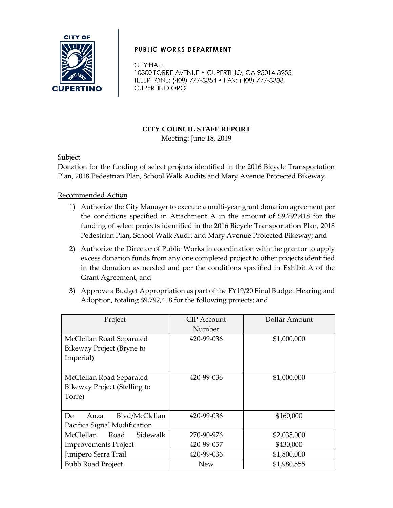

## **PUBLIC WORKS DEPARTMENT**

**CITY HALL** 10300 TORRE AVENUE . CUPERTINO, CA 95014-3255 TELEPHONE: (408) 777-3354 • FAX: (408) 777-3333 CUPERTINO.ORG

## **CITY COUNCIL STAFF REPORT** Meeting: June 18, 2019

### **Subject**

Donation for the funding of select projects identified in the 2016 Bicycle Transportation Plan, 2018 Pedestrian Plan, School Walk Audits and Mary Avenue Protected Bikeway.

Recommended Action

- 1) Authorize the City Manager to execute a multi-year grant donation agreement per the conditions specified in Attachment A in the amount of \$9,792,418 for the funding of select projects identified in the 2016 Bicycle Transportation Plan, 2018 Pedestrian Plan, School Walk Audit and Mary Avenue Protected Bikeway; and
- 2) Authorize the Director of Public Works in coordination with the grantor to apply excess donation funds from any one completed project to other projects identified in the donation as needed and per the conditions specified in Exhibit A of the Grant Agreement; and
- 3) Approve a Budget Appropriation as part of the FY19/20 Final Budget Hearing and Adoption, totaling \$9,792,418 for the following projects; and

| Project                       | CIP Account | Dollar Amount |
|-------------------------------|-------------|---------------|
|                               | Number      |               |
| McClellan Road Separated      | 420-99-036  | \$1,000,000   |
| Bikeway Project (Bryne to     |             |               |
| Imperial)                     |             |               |
|                               |             |               |
| McClellan Road Separated      | 420-99-036  | \$1,000,000   |
| Bikeway Project (Stelling to  |             |               |
| Torre)                        |             |               |
|                               |             |               |
| Blvd/McClellan<br>De.<br>Anza | 420-99-036  | \$160,000     |
| Pacifica Signal Modification  |             |               |
| McClellan<br>Sidewalk<br>Road | 270-90-976  | \$2,035,000   |
| <b>Improvements Project</b>   | 420-99-057  | \$430,000     |
| Junipero Serra Trail          | 420-99-036  | \$1,800,000   |
| <b>Bubb Road Project</b>      | <b>New</b>  | \$1,980,555   |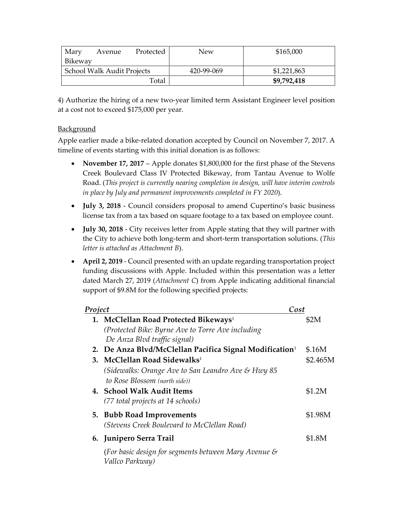| Mary                              | Avenue | Protected  | New         | \$165,000   |
|-----------------------------------|--------|------------|-------------|-------------|
| Bikeway                           |        |            |             |             |
| <b>School Walk Audit Projects</b> |        | 420-99-069 | \$1,221,863 |             |
|                                   |        | Total      |             | \$9,792,418 |

4) Authorize the hiring of a new two-year limited term Assistant Engineer level position at a cost not to exceed \$175,000 per year.

### **Background**

Apple earlier made a bike-related donation accepted by Council on November 7, 2017. A timeline of events starting with this initial donation is as follows:

- November 17, 2017 Apple donates \$1,800,000 for the first phase of the Stevens Creek Boulevard Class IV Protected Bikeway, from Tantau Avenue to Wolfe Road. (*This project is currently nearing completion in design, will have interim controls in place by July and permanent improvements completed in FY 2020*).
- **July 3, 2018** Council considers proposal to amend Cupertino's basic business license tax from a tax based on square footage to a tax based on employee count.
- **July 30, 2018** City receives letter from Apple stating that they will partner with the City to achieve both long-term and short-term transportation solutions. (*This letter is attached as Attachment B*).
- **April 2, 2019** Council presented with an update regarding transportation project funding discussions with Apple. Included within this presentation was a letter dated March 27, 2019 (*Attachment C*) from Apple indicating additional financial support of \$9.8M for the following specified projects:

| Project |                                                                                                         | Cost     |  |
|---------|---------------------------------------------------------------------------------------------------------|----------|--|
|         | 1. McClellan Road Protected Bikeways <sup>1</sup><br>(Protected Bike: Byrne Ave to Torre Ave including) | \$2M     |  |
|         | De Anza Blvd traffic signal)                                                                            |          |  |
|         | 2. De Anza Blvd/McClellan Pacifica Signal Modification <sup>1</sup>                                     | \$.16M   |  |
|         | 3. McClellan Road Sidewalks <sup>1</sup>                                                                | \$2.465M |  |
|         | (Sidewalks: Orange Ave to San Leandro Ave & Hwy 85)                                                     |          |  |
|         | to Rose Blossom (north side))                                                                           |          |  |
|         | 4. School Walk Audit Items                                                                              | \$1.2M   |  |
|         | (77 total projects at 14 schools)                                                                       |          |  |
|         | 5. Bubb Road Improvements                                                                               | \$1.98M  |  |
|         | (Stevens Creek Boulevard to McClellan Road)                                                             |          |  |
|         | 6. Junipero Serra Trail                                                                                 | \$1.8M   |  |
|         | (For basic design for segments between Mary Avenue &<br>Vallco Parkway)                                 |          |  |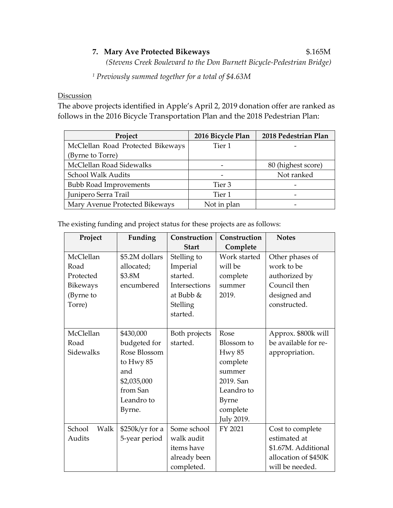# **7. Mary Ave Protected Bikeways** \$.165M

*(Stevens Creek Boulevard to the Don Burnett Bicycle-Pedestrian Bridge)* 

*<sup>1</sup> Previously summed together for a total of \$4.63M*

#### **Discussion**

The above projects identified in Apple's April 2, 2019 donation offer are ranked as follows in the 2016 Bicycle Transportation Plan and the 2018 Pedestrian Plan:

| Project                           | 2016 Bicycle Plan | 2018 Pedestrian Plan |
|-----------------------------------|-------------------|----------------------|
| McClellan Road Protected Bikeways | Tier 1            |                      |
| (Byrne to Torre)                  |                   |                      |
| McClellan Road Sidewalks          |                   | 80 (highest score)   |
| <b>School Walk Audits</b>         |                   | Not ranked           |
| <b>Bubb Road Improvements</b>     | Tier 3            |                      |
| Junipero Serra Trail              | Tier 1            |                      |
| Mary Avenue Protected Bikeways    | Not in plan       |                      |

The existing funding and project status for these projects are as follows:

| Project         | Funding         | Construction  | Construction      | <b>Notes</b>         |
|-----------------|-----------------|---------------|-------------------|----------------------|
|                 |                 | <b>Start</b>  | Complete          |                      |
| McClellan       | \$5.2M dollars  | Stelling to   | Work started      | Other phases of      |
| Road            | allocated;      | Imperial      | will be           | work to be           |
| Protected       | \$3.8M          | started.      | complete          | authorized by        |
| <b>Bikeways</b> | encumbered      | Intersections | summer            | Council then         |
| (Byrne to       |                 | at Bubb &     | 2019.             | designed and         |
| Torre)          |                 | Stelling      |                   | constructed.         |
|                 |                 | started.      |                   |                      |
|                 |                 |               |                   |                      |
| McClellan       | \$430,000       | Both projects | Rose              | Approx. \$800k will  |
| Road            | budgeted for    | started.      | Blossom to        | be available for re- |
| Sidewalks       | Rose Blossom    |               | <b>Hwy 85</b>     | appropriation.       |
|                 | to Hwy $85$     |               | complete          |                      |
|                 | and             |               | summer            |                      |
|                 | \$2,035,000     |               | 2019. San         |                      |
|                 | from San        |               | Leandro to        |                      |
|                 | Leandro to      |               | <b>Byrne</b>      |                      |
|                 | Byrne.          |               | complete          |                      |
|                 |                 |               | <b>July 2019.</b> |                      |
| School<br>Walk  | \$250k/yr for a | Some school   | FY 2021           | Cost to complete     |
| Audits          | 5-year period   | walk audit    |                   | estimated at         |
|                 |                 | items have    |                   | \$1.67M. Additional  |
|                 |                 | already been  |                   | allocation of \$450K |
|                 |                 | completed.    |                   | will be needed.      |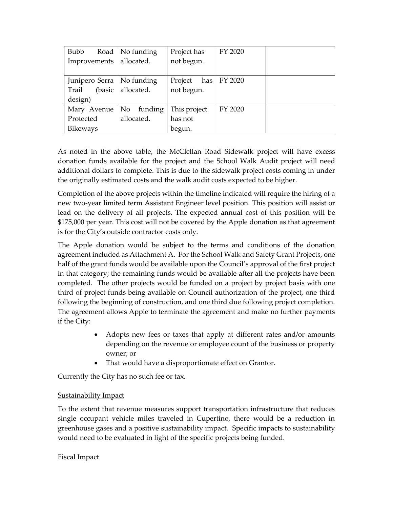| <b>Bubb</b>      | Road   No funding           | Project has    | FY 2020 |  |
|------------------|-----------------------------|----------------|---------|--|
| Improvements     | allocated.                  | not begun.     |         |  |
|                  |                             |                |         |  |
|                  | Junipero Serra   No funding | has<br>Project | FY 2020 |  |
| Trail<br>(basic) | allocated.                  | not begun.     |         |  |
| design)          |                             |                |         |  |
| Mary Avenue      | funding<br>No.              | This project   | FY 2020 |  |
| Protected        | allocated.                  | has not        |         |  |
| <b>Bikeways</b>  |                             | begun.         |         |  |

As noted in the above table, the McClellan Road Sidewalk project will have excess donation funds available for the project and the School Walk Audit project will need additional dollars to complete. This is due to the sidewalk project costs coming in under the originally estimated costs and the walk audit costs expected to be higher.

Completion of the above projects within the timeline indicated will require the hiring of a new two-year limited term Assistant Engineer level position. This position will assist or lead on the delivery of all projects. The expected annual cost of this position will be \$175,000 per year. This cost will not be covered by the Apple donation as that agreement is for the City's outside contractor costs only.

The Apple donation would be subject to the terms and conditions of the donation agreement included as Attachment A. For the School Walk and Safety Grant Projects, one half of the grant funds would be available upon the Council's approval of the first project in that category; the remaining funds would be available after all the projects have been completed. The other projects would be funded on a project by project basis with one third of project funds being available on Council authorization of the project, one third following the beginning of construction, and one third due following project completion. The agreement allows Apple to terminate the agreement and make no further payments if the City:

- Adopts new fees or taxes that apply at different rates and/or amounts depending on the revenue or employee count of the business or property owner; or
- That would have a disproportionate effect on Grantor.

Currently the City has no such fee or tax.

### Sustainability Impact

To the extent that revenue measures support transportation infrastructure that reduces single occupant vehicle miles traveled in Cupertino, there would be a reduction in greenhouse gases and a positive sustainability impact. Specific impacts to sustainability would need to be evaluated in light of the specific projects being funded.

### Fiscal Impact